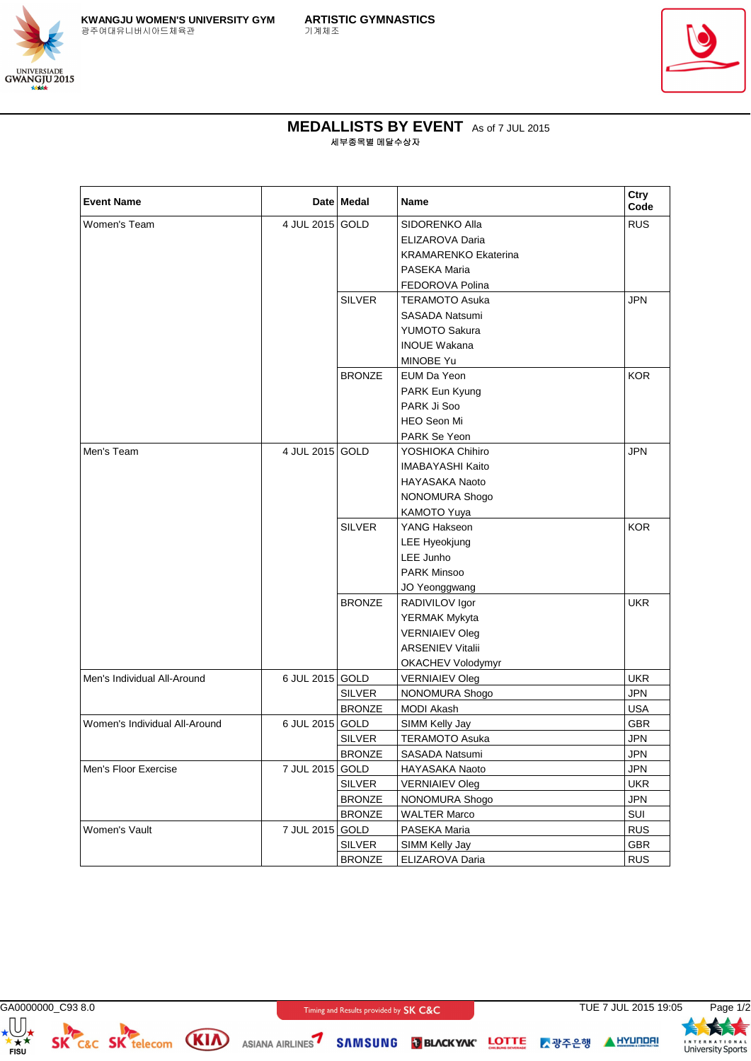



## **MEDALLISTS BY EVENT** As of 7 JUL 2015 세부종목별 메달수상자

| <b>Event Name</b>             |                 | Date Medal    | <b>Name</b>                 | Ctry<br>Code |
|-------------------------------|-----------------|---------------|-----------------------------|--------------|
| Women's Team                  | 4 JUL 2015 GOLD |               | SIDORENKO Alla              | <b>RUS</b>   |
|                               |                 |               | ELIZAROVA Daria             |              |
|                               |                 |               | <b>KRAMARENKO Ekaterina</b> |              |
|                               |                 |               | PASEKA Maria                |              |
|                               |                 |               | FEDOROVA Polina             |              |
|                               |                 | <b>SILVER</b> | <b>TERAMOTO Asuka</b>       | <b>JPN</b>   |
|                               |                 |               | <b>SASADA Natsumi</b>       |              |
|                               |                 |               | YUMOTO Sakura               |              |
|                               |                 |               | <b>INOUE Wakana</b>         |              |
|                               |                 |               | MINOBE Yu                   |              |
|                               |                 | <b>BRONZE</b> | EUM Da Yeon                 | <b>KOR</b>   |
|                               |                 |               | PARK Eun Kyung              |              |
|                               |                 |               | PARK Ji Soo                 |              |
|                               |                 |               | <b>HEO Seon Mi</b>          |              |
|                               |                 |               | <b>PARK Se Yeon</b>         |              |
| Men's Team                    | 4 JUL 2015 GOLD |               | YOSHIOKA Chihiro            | <b>JPN</b>   |
|                               |                 |               | IMABAYASHI Kaito            |              |
|                               |                 |               | HAYASAKA Naoto              |              |
|                               |                 |               | NONOMURA Shogo              |              |
|                               |                 |               | KAMOTO Yuya                 |              |
|                               |                 | <b>SILVER</b> | YANG Hakseon                | <b>KOR</b>   |
|                               |                 |               | <b>LEE Hyeokjung</b>        |              |
|                               |                 |               | LEE Junho                   |              |
|                               |                 |               | <b>PARK Minsoo</b>          |              |
|                               |                 |               | JO Yeonggwang               |              |
|                               |                 | <b>BRONZE</b> | RADIVILOV Igor              | <b>UKR</b>   |
|                               |                 |               | YERMAK Mykyta               |              |
|                               |                 |               | <b>VERNIAIEV Oleg</b>       |              |
|                               |                 |               | <b>ARSENIEV Vitalii</b>     |              |
|                               |                 |               | OKACHEV Volodymyr           |              |
| Men's Individual All-Around   | 6 JUL 2015 GOLD |               | <b>VERNIAIEV Oleg</b>       | <b>UKR</b>   |
|                               |                 | <b>SILVER</b> | NONOMURA Shogo              | <b>JPN</b>   |
|                               |                 | <b>BRONZE</b> | <b>MODI Akash</b>           | <b>USA</b>   |
| Women's Individual All-Around | 6 JUL 2015 GOLD |               | SIMM Kelly Jay              | GBR          |
|                               |                 | <b>SILVER</b> | TERAMOTO Asuka              | <b>JPN</b>   |
|                               |                 | <b>BRONZE</b> | SASADA Natsumi              | <b>JPN</b>   |
| Men's Floor Exercise          | 7 JUL 2015 GOLD |               | HAYASAKA Naoto              | JPN          |
|                               |                 | <b>SILVER</b> | <b>VERNIAIEV Oleg</b>       | <b>UKR</b>   |
|                               |                 | <b>BRONZE</b> | NONOMURA Shogo              | <b>JPN</b>   |
|                               |                 | <b>BRONZE</b> | <b>WALTER Marco</b>         | SUI          |
| Women's Vault                 | 7 JUL 2015 GOLD |               | PASEKA Maria                | <b>RUS</b>   |
|                               |                 | <b>SILVER</b> | SIMM Kelly Jay              | <b>GBR</b>   |
|                               |                 | <b>BRONZE</b> | ELIZAROVA Daria             | <b>RUS</b>   |

 $\bigoplus_{\substack{\star \\ \star \\ \mathsf{FISU}}}$ 

GA0000000\_C93 8.0 **CONFIRENT CONSUMER THE TO A TIME 2015 19:05** Page 1/2